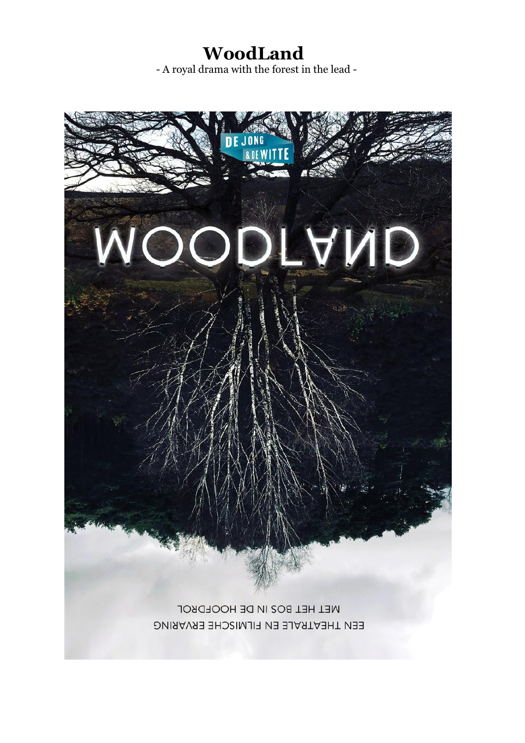**WoodLand**

- A royal drama with the forest in the lead -

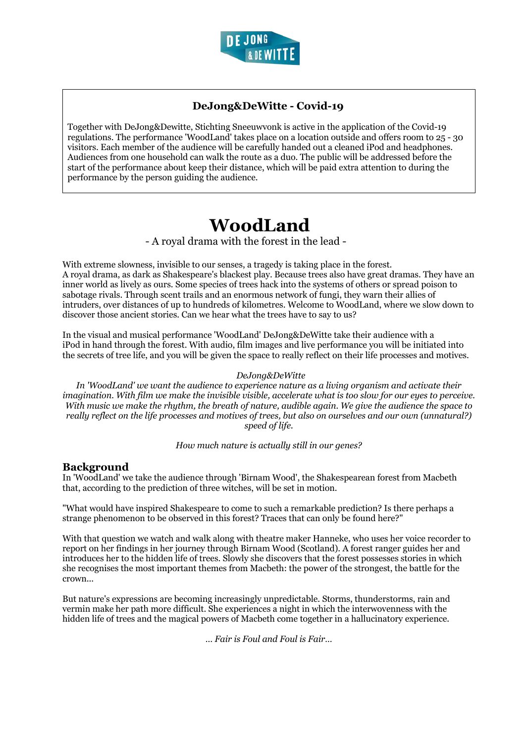

## **DeJong&DeWitte - Covid-19**

Together with DeJong&Dewitte, Stichting Sneeuwvonk is active in the application of the Covid-19 regulations. The performance 'WoodLand' takes place on a location outside and offers room to 25 - 30 visitors. Each member of the audience will be carefully handed out a cleaned iPod and headphones. Audiences from one household can walk the route as a duo. The public will be addressed before the start of the performance about keep their distance, which will be paid extra attention to during the performance by the person guiding the audience.

# **WoodLand**

- A royal drama with the forest in the lead -

With extreme slowness, invisible to our senses, a tragedy is taking place in the forest. A royal drama, as dark as Shakespeare's blackest play. Because trees also have great dramas. They have an inner world as lively as ours. Some species of trees hack into the systems of others or spread poison to sabotage rivals. Through scent trails and an enormous network of fungi, they warn their allies of intruders, over distances of up to hundreds of kilometres. Welcome to WoodLand, where we slow down to discover those ancient stories. Can we hear what the trees have to say to us?

In the visual and musical performance 'WoodLand' DeJong&DeWitte take their audience with a iPod in hand through the forest. With audio, film images and live performance you will be initiated into the secrets of tree life, and you will be given the space to really reflect on their life processes and motives.

#### *DeJong&DeWitte*

*In 'WoodLand' we want the audience to experience nature as a living organism and activate their imagination. With film we make the invisible visible, accelerate what is too slow for our eyes to perceive. With music we make the rhythm, the breath of nature, audible again. We give the audience the space to really reflect on the life processes and motives of trees, but also on ourselves and our own (unnatural?) speed of life.*

*How much nature is actually still in our genes?*

### **Background**

In 'WoodLand' we take the audience through 'Birnam Wood', the Shakespearean forest from Macbeth that, according to the prediction of three witches, will be set in motion.

"What would have inspired Shakespeare to come to such a remarkable prediction? Is there perhaps a strange phenomenon to be observed in this forest? Traces that can only be found here?"

With that question we watch and walk along with theatre maker Hanneke, who uses her voice recorder to report on her findings in her journey through Birnam Wood (Scotland). A forest ranger guides her and introduces her to the hidden life of trees. Slowly she discovers that the forest possesses stories in which she recognises the most important themes from Macbeth: the power of the strongest, the battle for the crown...

But nature's expressions are becoming increasingly unpredictable. Storms, thunderstorms, rain and vermin make her path more difficult. She experiences a night in which the interwovenness with the hidden life of trees and the magical powers of Macbeth come together in a hallucinatory experience.

*… Fair is Foul and Foul is Fair…*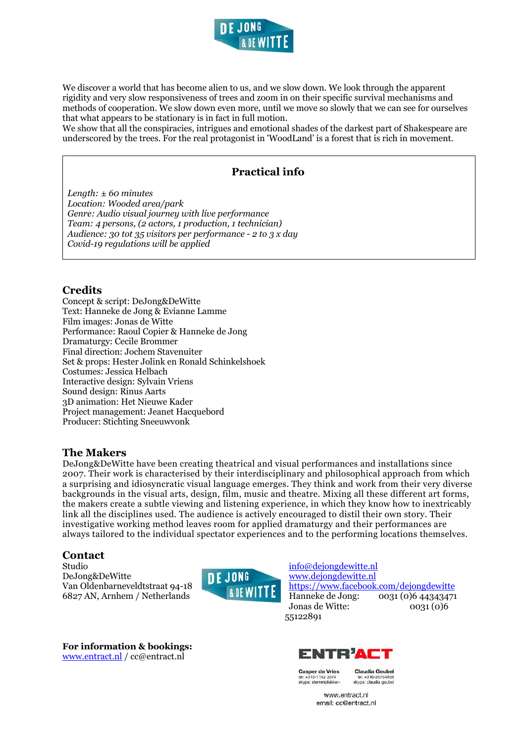

We discover a world that has become alien to us, and we slow down. We look through the apparent rigidity and very slow responsiveness of trees and zoom in on their specific survival mechanisms and methods of cooperation. We slow down even more, until we move so slowly that we can see for ourselves that what appears to be stationary is in fact in full motion.

We show that all the conspiracies, intrigues and emotional shades of the darkest part of Shakespeare are underscored by the trees. For the real protagonist in 'WoodLand' is a forest that is rich in movement.

## **Practical info**

*Length: ± 60 minutes Location: Wooded area/park Genre: Audio visual journey with live performance Team: 4 persons, (2 actors, 1 production, 1 technician) Audience: 30 tot 35 visitors per performance - 2 to 3 x day Covid-19 regulations will be applied*

## **Credits**

Concept & script: DeJong&DeWitte Text: Hanneke de Jong & Evianne Lamme Film images: Jonas de Witte Performance: Raoul Copier & Hanneke de Jong Dramaturgy: Cecile Brommer Final direction: Jochem Stavenuiter Set & props: Hester Jolink en Ronald Schinkelshoek Costumes: Jessica Helbach Interactive design: Sylvain Vriens Sound design: Rinus Aarts 3D animation: Het Nieuwe Kader Project management: Jeanet Hacquebord Producer: Stichting Sneeuwvonk

### **The Makers**

DeJong&DeWitte have been creating theatrical and visual performances and installations since 2007. Their work is characterised by their interdisciplinary and philosophical approach from which a surprising and idiosyncratic visual language emerges. They think and work from their very diverse backgrounds in the visual arts, design, film, music and theatre. Mixing all these different art forms, the makers create a subtle viewing and listening experience, in which they know how to inextricably link all the disciplines used. The audience is actively encouraged to distil their own story. Their investigative working method leaves room for applied dramaturgy and their performances are always tailored to the individual spectator experiences and to the performing locations themselves.

## **Contact**

Studio DeJong&DeWitte Van Oldenbarneveldtstraat 94-18 6827 AN, Arnhem / Netherlands



**For information & bookings:** www.entract.nl / cc@entract.nl

info@dejongdewitte.nl www.dejongdewitte.nl https://www.facebook.com/dejongdewitte<br>Hanneke de Jong: 0031 (0)6 44343471 0031 (0)6 44343471 Jonas de Witte: 0031 (0)6 55122891



lel: +316-1142 307 skype: sterrenplukker-

tel. +316-267048 skype: claudia geubel

Claudia Geubel

www.entract.nl email: cc@entract.nl